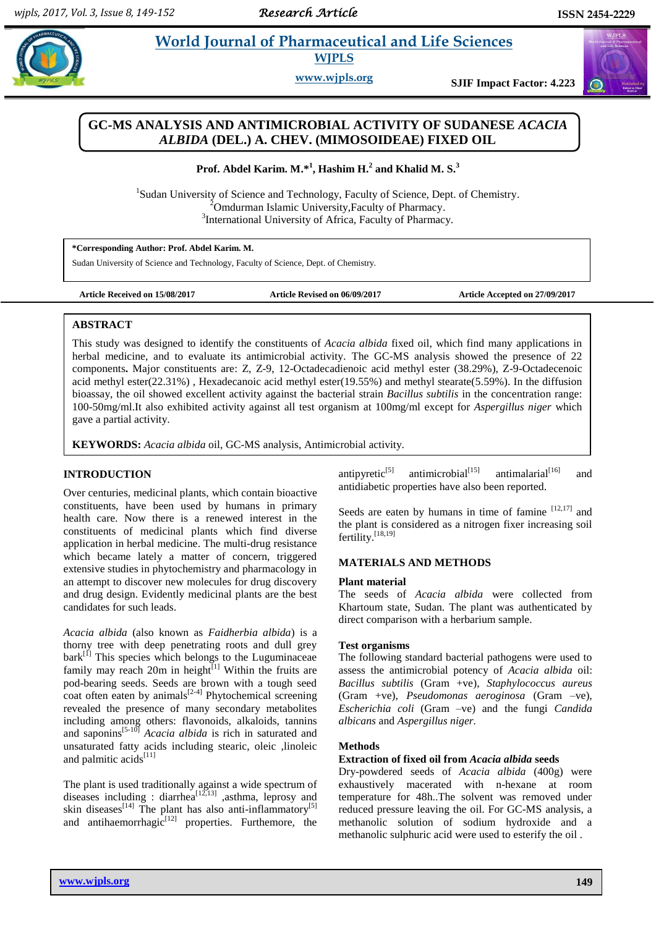$\omega$ 

# **Abdel** *E**World Journal of Pharmaceutical and Life Sciences* **WJPLS**

**www.wjpls.org SJIF Impact Factor: 4.223**

# **GC-MS ANALYSIS AND ANTIMICROBIAL ACTIVITY OF SUDANESE** *ACACIA ALBIDA* **(DEL.) A. CHEV. (MIMOSOIDEAE) FIXED OIL**

**Prof. Abdel Karim. M.\* 1 , Hashim H.<sup>2</sup> and Khalid M. S.<sup>3</sup>**

<sup>1</sup>Sudan University of Science and Technology, Faculty of Science, Dept. of Chemistry.  $2^2$ Omdurman Islamic University, Faculty of Pharmacy. <sup>3</sup>International University of Africa, Faculty of Pharmacy.

**\*Corresponding Author: Prof. Abdel Karim. M.**

Sudan University of Science and Technology, Faculty of Science, Dept. of Chemistry.

**Article Received on 15/08/2017 Article Revised on 06/09/2017 Article Accepted on 27/09/2017**

## **ABSTRACT**

,

This study was designed to identify the constituents of *Acacia albida* fixed oil, which find many applications in herbal medicine, and to evaluate its antimicrobial activity*.* The GC-MS analysis showed the presence of 22 components**.** Major constituents are: Z, Z-9, 12-Octadecadienoic acid methyl ester (38.29%), Z-9-Octadecenoic acid methyl ester(22.31%) , Hexadecanoic acid methyl ester(19.55%) and methyl stearate(5.59%). In the diffusion bioassay, the oil showed excellent activity against the bacterial strain *Bacillus subtilis* in the concentration range: 100-50mg/ml.It also exhibited activity against all test organism at 100mg/ml except for *Aspergillus niger* which gave a partial activity.

**KEYWORDS:** *Acacia albida* oil, GC-MS analysis, Antimicrobial activity.

# **INTRODUCTION**

Over centuries, medicinal plants, which contain bioactive constituents, have been used by humans in primary health care. Now there is a renewed interest in the constituents of medicinal plants which find diverse application in herbal medicine. The multi-drug resistance which became lately a matter of concern, triggered extensive studies in phytochemistry and pharmacology in an attempt to discover new molecules for drug discovery and drug design. Evidently medicinal plants are the best candidates for such leads.

*Acacia albida* (also known as *Faidherbia albida*) is a thorny tree with deep penetrating roots and dull grey  $bark$ <sup>[1]</sup> This species which belongs to the Luguminaceae family may reach 20m in height<sup>[1]</sup> Within the fruits are pod-bearing seeds. Seeds are brown with a tough seed coat often eaten by animals $[2-4]$  Phytochemical screening revealed the presence of many secondary metabolites including among others: flavonoids, alkaloids, tannins and saponins[5-10] *Acacia albida* is rich in saturated and unsaturated fatty acids including stearic, oleic ,linoleic and palmitic acids<sup>[11]</sup>

The plant is used traditionally against a wide spectrum of diseases including : diarrhea<sup>[12,13]</sup>, asthma, leprosy and skin diseases<sup>[14]</sup> The plant has also anti-inflammatory<sup>[5]</sup> and antihaemorrhagic $[12]$  properties. Furthemore, the

antipyretic<sup>[5]</sup> antimicrobial<sup>[15]</sup> antimalarial<sup>[16]</sup> and antidiabetic properties have also been reported.

Seeds are eaten by humans in time of famine  $[12,17]$  and the plant is considered as a nitrogen fixer increasing soil fertility.<sup>[18,19]</sup>

# **MATERIALS AND METHODS**

## **Plant material**

The seeds of *Acacia albida* were collected from Khartoum state, Sudan. The plant was authenticated by direct comparison with a herbarium sample.

## **Test organisms**

The following standard bacterial pathogens were used to assess the antimicrobial potency of *Acacia albida* oil: *Bacillus subtilis* (Gram +ve), *Staphylococcus aureus* (Gram +ve), *Pseudomonas aeroginosa* (Gram –ve), *Escherichia coli* (Gram –ve) and the fungi *Candida albicans* and *Aspergillus niger.*

# **Methods**

## **Extraction of fixed oil from** *Acacia albida* **seeds**

Dry-powdered seeds of *Acacia albida* (400g) were exhaustively macerated with n-hexane at room temperature for 48h..The solvent was removed under reduced pressure leaving the oil. For GC-MS analysis, a methanolic solution of sodium hydroxide and a methanolic sulphuric acid were used to esterify the oil .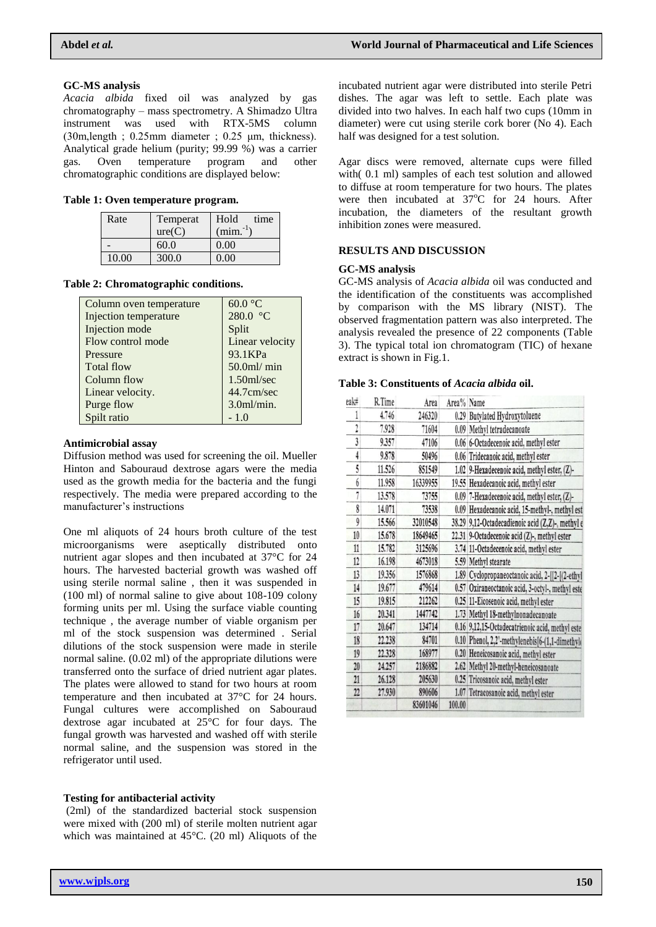*Acacia albida* fixed oil was analyzed by gas chromatography – mass spectrometry. A Shimadzo Ultra instrument was used with RTX-5MS column (30m,length ; 0.25mm diameter ; 0.25 μm, thickness). Analytical grade helium (purity; 99.99 %) was a carrier gas. Oven temperature program and other chromatographic conditions are displayed below:

|  |  |  |  | Table 1: Oven temperature program. |  |
|--|--|--|--|------------------------------------|--|
|--|--|--|--|------------------------------------|--|

| Rate  | Temperat | Hold<br>time |
|-------|----------|--------------|
|       | ure(C)   | $(min^{-1})$ |
|       | 60.0     | 0.00         |
| 10.00 | 300.0    | 0.00         |

## **Table 2: Chromatographic conditions.**

| Column oven temperature      | $60.0$ °C              |
|------------------------------|------------------------|
| <b>Injection temperature</b> | 280.0 °C               |
| Injection mode               | Split                  |
| Flow control mode            | Linear velocity        |
| Pressure                     | 93.1KPa                |
| <b>Total flow</b>            | $50.0$ ml/ $min$       |
| Column flow                  | $1.50$ ml/sec          |
| Linear velocity.             | 44.7cm/sec             |
| Purge flow                   | 3.0 <sub>m</sub> /min. |
| Spilt ratio                  | $-1.0$                 |

#### **Antimicrobial assay**

Diffusion method was used for screening the oil. Mueller Hinton and Sabouraud dextrose agars were the media used as the growth media for the bacteria and the fungi respectively. The media were prepared according to the manufacturer's instructions

One ml aliquots of 24 hours broth culture of the test microorganisms were aseptically distributed onto nutrient agar slopes and then incubated at 37°C for 24 hours. The harvested bacterial growth was washed off using sterile normal saline , then it was suspended in (100 ml) of normal saline to give about 108-109 colony forming units per ml. Using the surface viable counting technique , the average number of viable organism per ml of the stock suspension was determined . Serial dilutions of the stock suspension were made in sterile normal saline. (0.02 ml) of the appropriate dilutions were transferred onto the surface of dried nutrient agar plates. The plates were allowed to stand for two hours at room temperature and then incubated at 37°C for 24 hours. Fungal cultures were accomplished on Sabouraud dextrose agar incubated at 25°C for four days. The fungal growth was harvested and washed off with sterile normal saline, and the suspension was stored in the refrigerator until used.

#### **Testing for antibacterial activity**

(2ml) of the standardized bacterial stock suspension were mixed with (200 ml) of sterile molten nutrient agar which was maintained at 45°C. (20 ml) Aliquots of the

incubated nutrient agar were distributed into sterile Petri dishes. The agar was left to settle. Each plate was divided into two halves. In each half two cups (10mm in diameter) were cut using sterile cork borer (No 4). Each half was designed for a test solution.

Agar discs were removed, alternate cups were filled with( 0.1 ml) samples of each test solution and allowed to diffuse at room temperature for two hours. The plates were then incubated at  $37^{\circ}$ C for 24 hours. After incubation, the diameters of the resultant growth inhibition zones were measured.

## **RESULTS AND DISCUSSION**

# **GC-MS analysis**

GC-MS analysis of *Acacia albida* oil was conducted and the identification of the constituents was accomplished by comparison with the MS library (NIST). The observed fragmentation pattern was also interpreted. The analysis revealed the presence of 22 components (Table 3). The typical total ion chromatogram (TIC) of hexane extract is shown in Fig.1.

#### **Table 3: Constituents of** *Acacia albida* **oil.**

| eak#           | R.Time | Area     | Area% Name |                                                 |
|----------------|--------|----------|------------|-------------------------------------------------|
| 1              | 4.746  | 246320   |            | 0.29 Butylated Hydroxytoluene                   |
| $\mathfrak{p}$ | 7.928  | 71604    | 0.09       | Methyl tetradecanoate                           |
| 3              | 9.357  | 47106    |            | 0.06 6-Octadecenoic acid, methyl ester          |
| 4              | 9.878  | 50496    | 0.06       | Tridecanoic acid, methyl ester                  |
| 5              | 11.526 | 851549   | 1.02       | 9-Hexadecenoic acid, methyl ester, (Z)-         |
| 6              | 11.958 | 16339955 |            | 19.55 Hexadecanoic acid, methyl ester           |
| 7              | 13.578 | 73755    | 0.09       | 7-Hexadecenoic acid, methyl ester, (Z)-         |
| 8              | 14.071 | 73538    | 0.09       | Hexadecanoic acid, 15-methyl-, methyl est       |
| 9              | 15.566 | 32010548 | 38.29      | 9,12-Octadecadienoic acid (Z,Z)-, methyl e      |
| 10             | 15.678 | 18649465 |            | 22.31 9-Octadecenoic acid (Z)-, methyl ester    |
| 11             | 15.782 | 3125696  |            | 3.74 11-Octadecenoic acid, methyl ester         |
| 12             | 16.198 | 4673018  |            | 5.59 Methyl stearate                            |
| 13             | 19.356 | 1576868  | 1.89       | Cyclopropaneoctanoic acid, 2-[[2-[(2-ethyl]     |
| 14             | 19.677 | 479614   | 0.57       | Oxiraneoctanoic acid, 3-octyl-, methyl este     |
| 15             | 19.815 | 212262   |            | 0.25 11-Eicosenoic acid, methyl ester           |
| 16             | 20.341 | 1447742  |            | 1.73 Methyl 18-methylnonadecanoate              |
| 17             | 20.647 | 134714   |            | 0.16 9,12,15-Octadecatrienoic acid, methyl este |
| 18             | 22.238 | 84701    | 0.10       | Phenol, 2,2'-methylenebis[6-(1,1-dimethyle      |
| 19             | 22.328 | 168977   | 0.20       | Heneicosanoic acid, methyl ester                |
| 20             | 24.257 | 2186882  | 2.62       | Methyl 20-methyl-heneicosanoate                 |
| 21             | 26.128 | 205630   | 0.25       | Tricosanoic acid, methyl ester                  |
| 22             | 27.930 | 890606   | 1.07       | Tetracosanoic acid, methyl ester                |
|                |        | 83601046 | 100.00     |                                                 |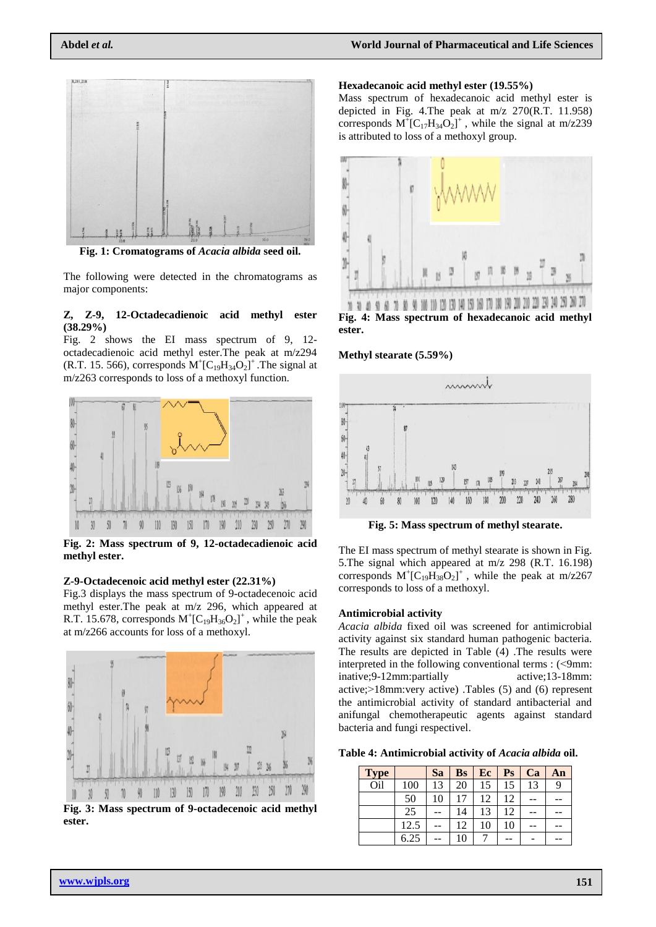

**Fig. 1: Cromatograms of** *Acacia albida* **seed oil.**

The following were detected in the chromatograms as major components:

#### **Z, Z-9, 12-Octadecadienoic acid methyl ester (38.29%)**

Fig. 2 shows the EI mass spectrum of 9, 12 octadecadienoic acid methyl ester.The peak at m/z294 (R.T. 15. 566), corresponds  $M^{\dagger}$ [C<sub>19</sub>H<sub>34</sub>O<sub>2</sub>]<sup>+</sup>. The signal at m/z263 corresponds to loss of a methoxyl function.



**Fig. 2: Mass spectrum of 9, 12-octadecadienoic acid methyl ester.**

## **Z-9-Octadecenoic acid methyl ester (22.31%)**

Fig.3 displays the mass spectrum of 9-octadecenoic acid methyl ester.The peak at m/z 296, which appeared at R.T. 15.678, corresponds  $M^{\dagger}$ [C<sub>19</sub>H<sub>36</sub>O<sub>2</sub>]<sup>+</sup>, while the peak at m/z266 accounts for loss of a methoxyl.



**Fig. 3: Mass spectrum of 9-octadecenoic acid methyl ester.**

#### **Hexadecanoic acid methyl ester (19.55%)**

Mass spectrum of hexadecanoic acid methyl ester is depicted in Fig. 4.The peak at m/z 270(R.T. 11.958) corresponds  $M^{\dagger}$ [C<sub>17</sub>H<sub>34</sub>O<sub>2</sub>]<sup>+</sup>, while the signal at m/z239 is attributed to loss of a methoxyl group.



**ester.**

## **Methyl stearate (5.59%)**



**Fig. 5: Mass spectrum of methyl stearate.**

The EI mass spectrum of methyl stearate is shown in Fig. 5.The signal which appeared at m/z 298 (R.T. 16.198) corresponds  $M^{\dagger}$ [C<sub>19</sub>H<sub>38</sub>O<sub>2</sub>]<sup>+</sup>, while the peak at m/z267 corresponds to loss of a methoxyl.

#### **Antimicrobial activity**

*Acacia albida* fixed oil was screened for antimicrobial activity against six standard human pathogenic bacteria. The results are depicted in Table (4) .The results were interpreted in the following conventional terms :  $(\leq 9$ mm: inative;9-12mm:partially active;13-18mm: active;<18mm:very active) .Tables (5) and (6) represent the antimicrobial activity of standard antibacterial and anifungal chemotherapeutic agents against standard bacteria and fungi respectivel.

**Table 4: Antimicrobial activity of** *Acacia albida* **oil.**

| <b>Type</b>     |      | Sa | <b>Bs</b> | Ec | $\mathbf{P}\mathbf{s}$ | Ca | An |
|-----------------|------|----|-----------|----|------------------------|----|----|
| O <sub>il</sub> | 100  | 13 | 20        | 15 | 15                     | 13 | 9  |
|                 | 50   | 10 | 17        | 12 | 12                     |    |    |
|                 | 25   |    | 14        | 13 | 12                     |    |    |
|                 | 12.5 |    | 12        | 10 | 10                     |    |    |
|                 | 6.25 |    | 10        |    |                        |    |    |